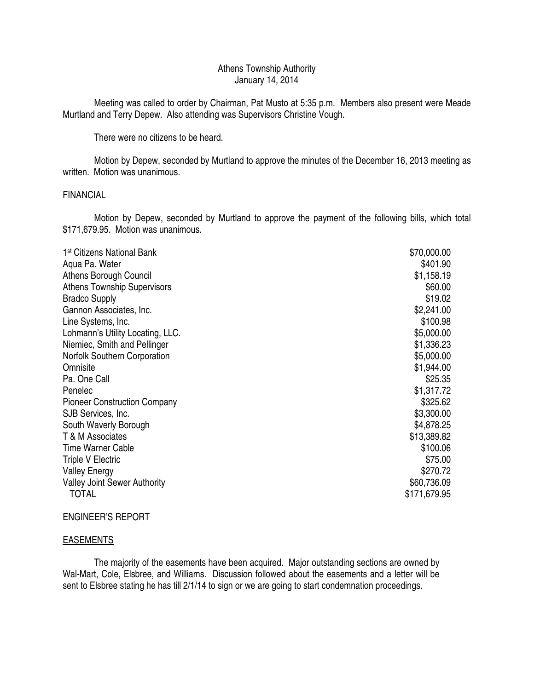# Athens Township Authority January 14, 2014

 Meeting was called to order by Chairman, Pat Musto at 5:35 p.m. Members also present were Meade Murtland and Terry Depew. Also attending was Supervisors Christine Vough.

There were no citizens to be heard.

 Motion by Depew, seconded by Murtland to approve the minutes of the December 16, 2013 meeting as written. Motion was unanimous.

#### **FINANCIAL**

 Motion by Depew, seconded by Murtland to approve the payment of the following bills, which total \$171,679.95. Motion was unanimous.

| 1 <sup>st</sup> Citizens National Bank | \$70,000.00  |
|----------------------------------------|--------------|
| Agua Pa. Water                         | \$401.90     |
| <b>Athens Borough Council</b>          | \$1,158.19   |
| <b>Athens Township Supervisors</b>     | \$60.00      |
| <b>Bradco Supply</b>                   | \$19.02      |
| Gannon Associates, Inc.                | \$2,241.00   |
| Line Systems, Inc.                     | \$100.98     |
| Lohmann's Utility Locating, LLC.       | \$5,000.00   |
| Niemiec, Smith and Pellinger           | \$1,336.23   |
| <b>Norfolk Southern Corporation</b>    | \$5,000.00   |
| Omnisite                               | \$1,944.00   |
| Pa. One Call                           | \$25.35      |
| Penelec                                | \$1,317.72   |
| <b>Pioneer Construction Company</b>    | \$325.62     |
| SJB Services, Inc.                     | \$3,300.00   |
| South Waverly Borough                  | \$4,878.25   |
| T & M Associates                       | \$13,389.82  |
| <b>Time Warner Cable</b>               | \$100.06     |
| <b>Triple V Electric</b>               | \$75.00      |
| <b>Valley Energy</b>                   | \$270.72     |
| <b>Valley Joint Sewer Authority</b>    | \$60,736.09  |
| <b>TOTAL</b>                           | \$171,679.95 |

#### ENGINEER'S REPORT

# **EASEMENTS**

 The majority of the easements have been acquired. Major outstanding sections are owned by Wal-Mart, Cole, Elsbree, and Williams. Discussion followed about the easements and a letter will be sent to Elsbree stating he has till 2/1/14 to sign or we are going to start condemnation proceedings.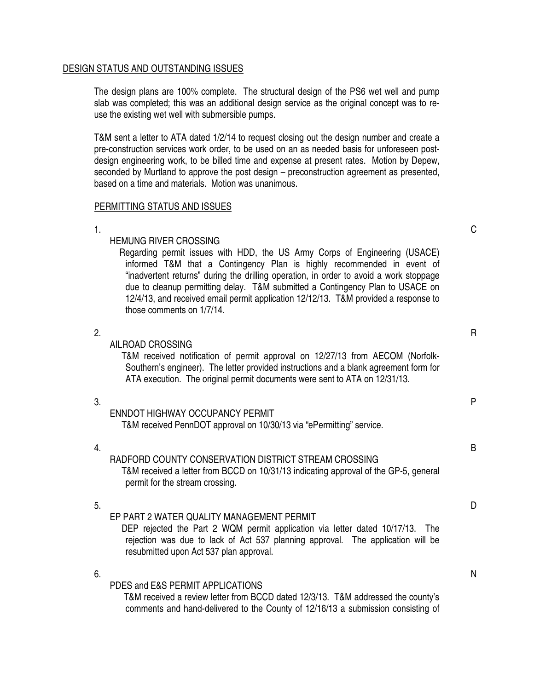# DESIGN STATUS AND OUTSTANDING ISSUES

The design plans are 100% complete. The structural design of the PS6 wet well and pump slab was completed; this was an additional design service as the original concept was to reuse the existing wet well with submersible pumps.

T&M sent a letter to ATA dated 1/2/14 to request closing out the design number and create a pre-construction services work order, to be used on an as needed basis for unforeseen postdesign engineering work, to be billed time and expense at present rates. Motion by Depew, seconded by Murtland to approve the post design – preconstruction agreement as presented, based on a time and materials. Motion was unanimous.

## PERMITTING STATUS AND ISSUES

 $1.$  C

# HEMUNG RIVER CROSSING

 Regarding permit issues with HDD, the US Army Corps of Engineering (USACE) informed T&M that a Contingency Plan is highly recommended in event of "inadvertent returns" during the drilling operation, in order to avoid a work stoppage due to cleanup permitting delay. T&M submitted a Contingency Plan to USACE on 12/4/13, and received email permit application 12/12/13. T&M provided a response to those comments on 1/7/14.

2.  $R$ 

AILROAD CROSSING T&M received notification of permit approval on 12/27/13 from AECOM (Norfolk-Southern's engineer). The letter provided instructions and a blank agreement form for ATA execution. The original permit documents were sent to ATA on 12/31/13.

## $3.$ ENNDOT HIGHWAY OCCUPANCY PERMIT T&M received PennDOT approval on 10/30/13 via "ePermitting" service.

## 4. B RADFORD COUNTY CONSERVATION DISTRICT STREAM CROSSING T&M received a letter from BCCD on 10/31/13 indicating approval of the GP-5, general permit for the stream crossing.

5. D EP PART 2 WATER QUALITY MANAGEMENT PERMIT

 DEP rejected the Part 2 WQM permit application via letter dated 10/17/13. The rejection was due to lack of Act 537 planning approval. The application will be resubmitted upon Act 537 plan approval.

#### $\mathsf{6.}$ PDES and E&S PERMIT APPLICATIONS

 T&M received a review letter from BCCD dated 12/3/13. T&M addressed the county's comments and hand-delivered to the County of 12/16/13 a submission consisting of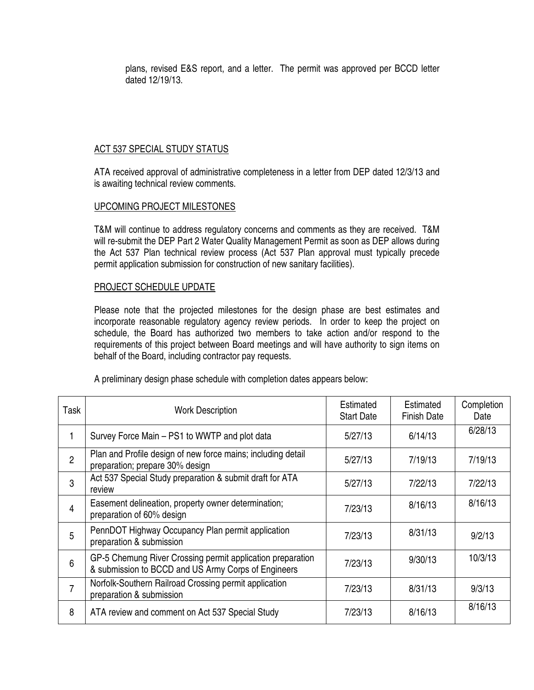plans, revised E&S report, and a letter. The permit was approved per BCCD letter dated 12/19/13.

# ACT 537 SPECIAL STUDY STATUS

ATA received approval of administrative completeness in a letter from DEP dated 12/3/13 and is awaiting technical review comments.

## UPCOMING PROJECT MILESTONES

T&M will continue to address regulatory concerns and comments as they are received. T&M will re-submit the DEP Part 2 Water Quality Management Permit as soon as DEP allows during the Act 537 Plan technical review process (Act 537 Plan approval must typically precede permit application submission for construction of new sanitary facilities).

## PROJECT SCHEDULE UPDATE

Please note that the projected milestones for the design phase are best estimates and incorporate reasonable regulatory agency review periods. In order to keep the project on schedule, the Board has authorized two members to take action and/or respond to the requirements of this project between Board meetings and will have authority to sign items on behalf of the Board, including contractor pay requests.

| Task           | <b>Work Description</b>                                                                                           | Estimated<br><b>Start Date</b> | Estimated<br><b>Finish Date</b> | Completion<br>Date |
|----------------|-------------------------------------------------------------------------------------------------------------------|--------------------------------|---------------------------------|--------------------|
|                | Survey Force Main - PS1 to WWTP and plot data                                                                     | 5/27/13                        | 6/14/13                         | 6/28/13            |
| $\overline{2}$ | Plan and Profile design of new force mains; including detail<br>preparation; prepare 30% design                   | 5/27/13                        | 7/19/13                         | 7/19/13            |
| 3              | Act 537 Special Study preparation & submit draft for ATA<br>review                                                | 5/27/13                        | 7/22/13                         | 7/22/13            |
| 4              | Easement delineation, property owner determination;<br>preparation of 60% design                                  | 7/23/13                        | 8/16/13                         | 8/16/13            |
| 5              | PennDOT Highway Occupancy Plan permit application<br>preparation & submission                                     | 7/23/13                        | 8/31/13                         | 9/2/13             |
| 6              | GP-5 Chemung River Crossing permit application preparation<br>& submission to BCCD and US Army Corps of Engineers | 7/23/13                        | 9/30/13                         | 10/3/13            |
| $\overline{7}$ | Norfolk-Southern Railroad Crossing permit application<br>preparation & submission                                 | 7/23/13                        | 8/31/13                         | 9/3/13             |
| 8              | ATA review and comment on Act 537 Special Study                                                                   | 7/23/13                        | 8/16/13                         | 8/16/13            |

A preliminary design phase schedule with completion dates appears below: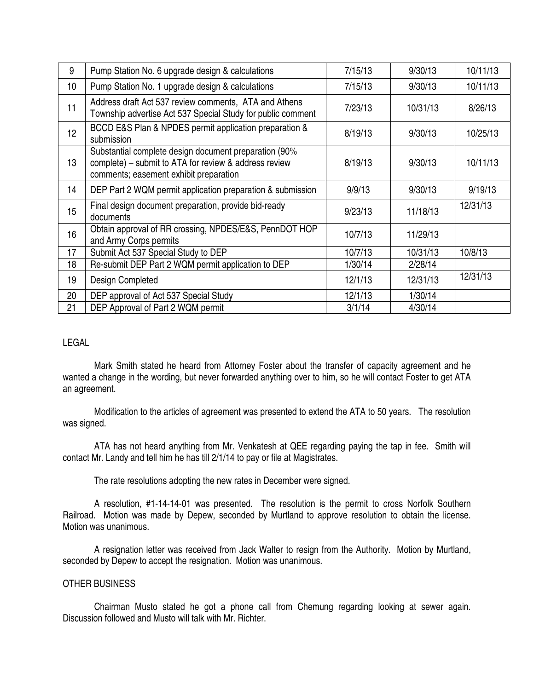| 9  | Pump Station No. 6 upgrade design & calculations                                                                                                         | 7/15/13 | 9/30/13  | 10/11/13 |
|----|----------------------------------------------------------------------------------------------------------------------------------------------------------|---------|----------|----------|
| 10 | Pump Station No. 1 upgrade design & calculations                                                                                                         | 7/15/13 | 9/30/13  | 10/11/13 |
| 11 | Address draft Act 537 review comments, ATA and Athens<br>Township advertise Act 537 Special Study for public comment                                     | 7/23/13 | 10/31/13 | 8/26/13  |
| 12 | BCCD E&S Plan & NPDES permit application preparation &<br>submission                                                                                     | 8/19/13 | 9/30/13  | 10/25/13 |
| 13 | Substantial complete design document preparation (90%<br>complete) – submit to ATA for review & address review<br>comments; easement exhibit preparation | 8/19/13 | 9/30/13  | 10/11/13 |
| 14 | DEP Part 2 WQM permit application preparation & submission                                                                                               | 9/9/13  | 9/30/13  | 9/19/13  |
| 15 | Final design document preparation, provide bid-ready<br>documents                                                                                        | 9/23/13 | 11/18/13 | 12/31/13 |
| 16 | Obtain approval of RR crossing, NPDES/E&S, PennDOT HOP<br>and Army Corps permits                                                                         | 10/7/13 | 11/29/13 |          |
| 17 | Submit Act 537 Special Study to DEP                                                                                                                      | 10/7/13 | 10/31/13 | 10/8/13  |
| 18 | Re-submit DEP Part 2 WQM permit application to DEP                                                                                                       | 1/30/14 | 2/28/14  |          |
| 19 | Design Completed                                                                                                                                         | 12/1/13 | 12/31/13 | 12/31/13 |
| 20 | DEP approval of Act 537 Special Study                                                                                                                    | 12/1/13 | 1/30/14  |          |
| 21 | DEP Approval of Part 2 WQM permit                                                                                                                        | 3/1/14  | 4/30/14  |          |

# LEGAL

 Mark Smith stated he heard from Attorney Foster about the transfer of capacity agreement and he wanted a change in the wording, but never forwarded anything over to him, so he will contact Foster to get ATA an agreement.

 Modification to the articles of agreement was presented to extend the ATA to 50 years. The resolution was signed.

 ATA has not heard anything from Mr. Venkatesh at QEE regarding paying the tap in fee. Smith will contact Mr. Landy and tell him he has till 2/1/14 to pay or file at Magistrates.

The rate resolutions adopting the new rates in December were signed.

 A resolution, #1-14-14-01 was presented. The resolution is the permit to cross Norfolk Southern Railroad. Motion was made by Depew, seconded by Murtland to approve resolution to obtain the license. Motion was unanimous.

 A resignation letter was received from Jack Walter to resign from the Authority. Motion by Murtland, seconded by Depew to accept the resignation. Motion was unanimous.

## OTHER BUSINESS

 Chairman Musto stated he got a phone call from Chemung regarding looking at sewer again. Discussion followed and Musto will talk with Mr. Richter.